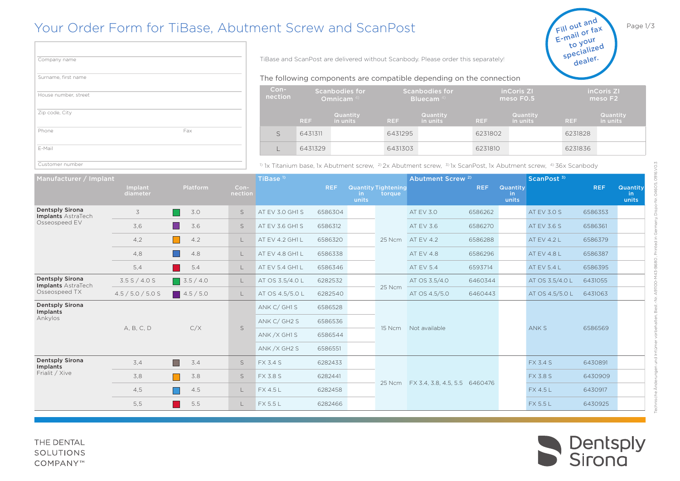## Your Order Form for TiBase, Abutment Screw and ScanPost

| Company name         |     |
|----------------------|-----|
| Surname, first name  |     |
| House number, street |     |
| Zip code, City       |     |
| Phone                | Fax |
| E-Mail               |     |
| Customer number      |     |

Company name **Example 20 Separately 20 Separately 20 Separately 20 Separately 20 Separately 20 Separately 20 Separately 20 Separately 20 Separately 20 Separately 20 Separately 20 Separately 20 Separately 20 Separately 20 S** 

## The following components are compatible depending on the connection

| $Con-$<br>nection | <b>Scanbodies for</b><br>Omnicam <sup>4)</sup> |                      |            | <b>Scanbodies for</b><br><b>Bluecam</b> 4) |            | inCoris ZI<br>meso F <sub>0.5</sub> | inCoris ZI<br>meso F <sub>2</sub> |                      |  |
|-------------------|------------------------------------------------|----------------------|------------|--------------------------------------------|------------|-------------------------------------|-----------------------------------|----------------------|--|
|                   | <b>REF</b>                                     | Quantity<br>in units | <b>REF</b> | Quantity<br>in units                       | <b>REF</b> | Quantity<br>in units                | <b>REF</b>                        | Quantity<br>in units |  |
|                   | 6431311                                        |                      | 6431295    |                                            | 6231802    |                                     | 6231828                           |                      |  |
|                   | 6431329                                        |                      | 6431303    |                                            | 6231810    |                                     | 6231836                           |                      |  |

<sup>1)</sup> 1x Titanium base, 1x Abutment screw,  $^{2)}$  2x Abutment screw,  $^{3}$  1x ScanPost, 1x Abutment screw,  $^{4)}$  36x Scanbody

| Manufacturer / Implant                                        |                     |                  |                 | TiBase <sup>1)</sup>      |            |              |                                      | Abutment Screw <sup>2)</sup>         |            |                          | ScanPost <sup>3)</sup> |            |                          |
|---------------------------------------------------------------|---------------------|------------------|-----------------|---------------------------|------------|--------------|--------------------------------------|--------------------------------------|------------|--------------------------|------------------------|------------|--------------------------|
|                                                               | Implant<br>diameter | Platform         | Con-<br>nection |                           | <b>REF</b> | in.<br>units | <b>Quantity Tightening</b><br>torque |                                      | <b>REF</b> | Quantity<br>in.<br>units |                        | <b>REF</b> | Quantity<br>in.<br>units |
| <b>Dentsply Sirona</b><br>Implants AstraTech                  | 3                   | 3.0              | $\mathsf S$     | AT EV 3.0 GH1 S           | 6586304    |              |                                      | AT EV 3.0                            | 6586262    |                          | AT EV 3.0 S            | 6586353    |                          |
| Osseospeed EV                                                 | 3,6                 | 3.6<br>l I       | S               | AT EV 3.6 GH1 S           | 6586312    |              |                                      | AT EV 3.6                            | 6586270    |                          | AT EV 3.6 S            | 6586361    |                          |
|                                                               | 4,2                 | 4.2<br>l I       | L               | AT EV 4.2 GH1 L           | 6586320    |              | 25 Ncm                               | AT EV 4.2                            | 6586288    |                          | AT EV 4.2 L            | 6586379    |                          |
|                                                               | 4,8                 | 4.8              | L               | AT EV 4.8 GH1 L           | 6586338    |              |                                      | AT EV 4.8                            | 6586296    |                          | AT EV 4.8 L            | 6586387    |                          |
|                                                               | 5,4                 | 5.4              | L               | AT EV 5.4 GH1 L           | 6586346    |              |                                      | AT EV 5.4                            | 6593714    |                          | AT EV 5.4 L            | 6586395    |                          |
| <b>Dentsply Sirona</b><br>Implants AstraTech<br>Osseospeed TX | 3.5 S / 4.0 S       | $\Box$ 3.5 / 4.0 | L               | AT OS 3.5/4.0 L           | 6282532    |              | 25 Ncm                               | AT OS 3.5/4.0                        | 6460344    |                          | AT OS 3.5/4.0 L        | 6431055    |                          |
|                                                               | 4.5 / 5.0 / 5.0 S   | $\Box$ 4.5/5.0   | L               | AT OS 4.5/5.0 L           | 6282540    |              |                                      | AT OS 4.5/5.0                        | 6460443    |                          | AT OS 4.5/5.0 L        | 6431063    |                          |
| <b>Dentsply Sirona</b><br>Implants                            | A, B, C, D          | C/X              |                 | ANK C/ GH1 S              | 6586528    |              | 15 Ncm                               | Not available                        |            |                          |                        | 6586569    |                          |
| Ankylos                                                       |                     |                  | S               | ANK C/ GH2 S              | 6586536    |              |                                      |                                      |            |                          |                        |            |                          |
|                                                               |                     |                  |                 | ANK / X GH1 S             | 6586544    |              |                                      |                                      |            |                          | ANK S                  |            |                          |
|                                                               |                     |                  |                 | ANK / X GH <sub>2</sub> S | 6586551    |              |                                      |                                      |            |                          |                        |            |                          |
| <b>Dentsply Sirona</b><br>Implants                            | 3,4                 | H<br>3.4         | S               | <b>FX 3.4 S</b>           | 6282433    |              |                                      |                                      |            |                          | <b>FX 3.4 S</b>        | 6430891    |                          |
| Frialit / Xive                                                | 3,8                 | 3.8              | S               | <b>FX 3.8 S</b>           | 6282441    |              |                                      | 25 Ncm FX 3.4, 3.8, 4.5, 5.5 6460476 |            |                          | <b>FX 3.8 S</b>        | 6430909    |                          |
|                                                               | 4,5                 | 4.5              | L               | FX 4.5 L                  | 6282458    |              |                                      |                                      |            |                          | <b>FX 4.5 L</b>        | 6430917    |                          |
|                                                               | 5,5                 | 5.5              | L               | <b>FX 5.5 L</b>           | 6282466    |              |                                      |                                      |            |                          | FX 5.5 L               | 6430925    |                          |



0916.VO.3 Technische Änderungen und Irrtümer vorbehalten, Best.-Nr. A91100-M43-B680 , Printed in Germany, Dispo-Nr. 04605, 0916.V0.3

Page 1/3

Fill out and  $E$ -mail or fax to your<br>specialized dealer.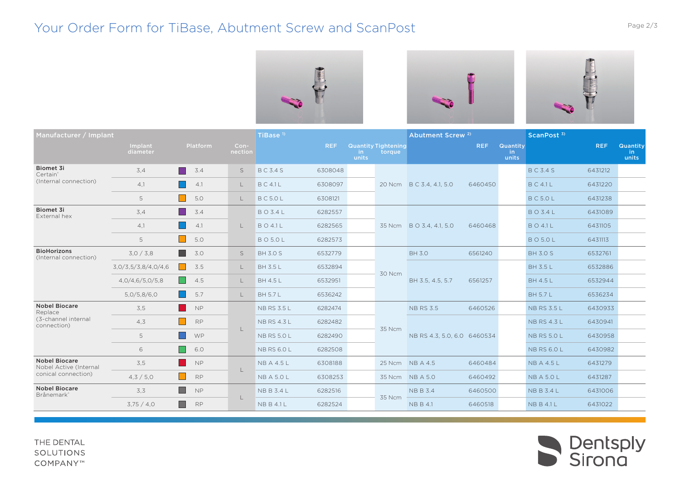## Your Order Form for TiBase, Abutment Screw and ScanPost The Control of Page 2/3





| Manufacturer / Implant                         |                     |                            |                 | TiBase <sup>1)</sup> |            |              |                                      | Abutment Screw <sup>2)</sup> |            |                          | ScanPost <sup>3)</sup> |            |                                 |
|------------------------------------------------|---------------------|----------------------------|-----------------|----------------------|------------|--------------|--------------------------------------|------------------------------|------------|--------------------------|------------------------|------------|---------------------------------|
|                                                | Implant<br>diameter | <b>Platform</b>            | Con-<br>nection |                      | <b>REF</b> | in.<br>units | <b>Quantity Tightening</b><br>torque |                              | <b>REF</b> | Quantity<br>in.<br>units |                        | <b>REF</b> | <b>Quantity</b><br>in.<br>units |
| Biomet 3i<br>Certain <sup>®</sup>              | 3,4                 | 3.4                        | S               | <b>BC3.4S</b>        | 6308048    |              |                                      |                              |            |                          | <b>BC3.4S</b>          | 6431212    |                                 |
| (Internal connection)                          | 4,1                 | 4.1                        | $\mathsf{L}$    | <b>BC4.1L</b>        | 6308097    |              |                                      | 20 Ncm B C 3.4, 4.1, 5.0     | 6460450    |                          | <b>BC41L</b>           | 6431220    |                                 |
|                                                | 5                   | 5.0                        | $\mathsf{L}$    | <b>BC5.0L</b>        | 6308121    |              |                                      |                              |            |                          | <b>BC5.0L</b>          | 6431238    |                                 |
| <b>Biomet 3i</b><br>External hex               | 3,4                 | 3.4                        |                 | <b>BO3.4L</b>        | 6282557    |              |                                      | 35 Ncm B O 3.4, 4.1, 5.0     | 6460468    |                          | <b>BO3.4L</b>          | 6431089    |                                 |
|                                                | 4,1                 | 4.1                        | $\mathbf{L}$    | <b>BO41L</b>         | 6282565    |              |                                      |                              |            |                          | <b>BO4.1L</b>          | 6431105    |                                 |
|                                                | 5                   | 5.0                        |                 | <b>BO5.0L</b>        | 6282573    |              |                                      |                              |            |                          | <b>BO5.0L</b>          | 6431113    |                                 |
| <b>BioHorizons</b><br>(Internal connection)    | 3,0/3,8             | 3.0                        | S               | <b>BH 3.0 S</b>      | 6532779    |              | 30 Ncm                               | <b>BH 3.0</b>                | 6561240    |                          | <b>BH 3.0 S</b>        | 6532761    |                                 |
|                                                | 3,0/3,5/3,8/4,0/4,6 | 3.5<br><b>In the State</b> | $\mathsf{L}$    | <b>BH 3.5 L</b>      | 6532894    |              |                                      | BH 3.5, 4.5, 5.7             | 6561257    |                          | <b>BH 3.5 L</b>        | 6532886    |                                 |
|                                                | 4,0/4,6/5,0/5,8     | 4.5                        | $\mathsf{L}$    | <b>BH 4.5 L</b>      | 6532951    |              |                                      |                              |            |                          | <b>BH 4.5 L</b>        | 6532944    |                                 |
|                                                | 5,0/5,8/6,0         | 5.7                        | L               | <b>BH 5.7 L</b>      | 6536242    |              |                                      |                              |            |                          | <b>BH 5.7 L</b>        | 6536234    |                                 |
| <b>Nobel Biocare</b><br>Replace                | 3.5                 | <b>NP</b>                  |                 | <b>NB RS 3.5 L</b>   | 6282474    |              |                                      | <b>NB RS 3.5</b>             | 6460526    |                          | <b>NB RS 3.5 L</b>     | 6430933    |                                 |
| (3-channel internal<br>connection)             | 4.3                 | <b>RP</b>                  |                 | <b>NB RS 4.3 L</b>   | 6282482    |              |                                      | NB RS 4.3, 5.0, 6.0 6460534  |            |                          | <b>NB RS 4.3 L</b>     | 6430941    |                                 |
|                                                | 5                   | WP                         | L               | <b>NB RS 5.0 L</b>   | 6282490    |              | 35 Ncm                               |                              |            |                          | <b>NB RS 5.0 L</b>     | 6430958    |                                 |
|                                                | 6                   | 6.0                        |                 | <b>NB RS 6.0 L</b>   | 6282508    |              |                                      |                              |            |                          | <b>NB RS 6.0 L</b>     | 6430982    |                                 |
| <b>Nobel Biocare</b><br>Nobel Active (Internal | 3.5                 | <b>NP</b>                  |                 | <b>NBA4.5L</b>       | 6308188    |              |                                      | 25 Ncm NB A 4.5              | 6460484    |                          | <b>NB A 4.5 L</b>      | 6431279    |                                 |
| conical connection)                            | 4,3/5,0             | <b>RP</b>                  | $\mathbf{L}$    | <b>NB A 5.0 L</b>    | 6308253    |              |                                      | 35 Ncm NB A 5.0              | 6460492    |                          | <b>NB A 5.0 L</b>      | 6431287    |                                 |
| <b>Nobel Biocare</b><br>Brånemark*             | 3,3                 | <b>NP</b>                  |                 | <b>NBB3.4L</b>       | 6282516    |              |                                      | <b>NBB3.4</b>                | 6460500    |                          | <b>NBB3.4L</b>         | 6431006    |                                 |
|                                                | 3,75/4,0            | <b>RP</b>                  | $\mathbf{L}$    | <b>NBB41L</b>        | 6282524    |              | 35 Ncm                               | <b>NBB4.1</b>                | 6460518    |                          | <b>NBB41L</b>          | 6431022    |                                 |